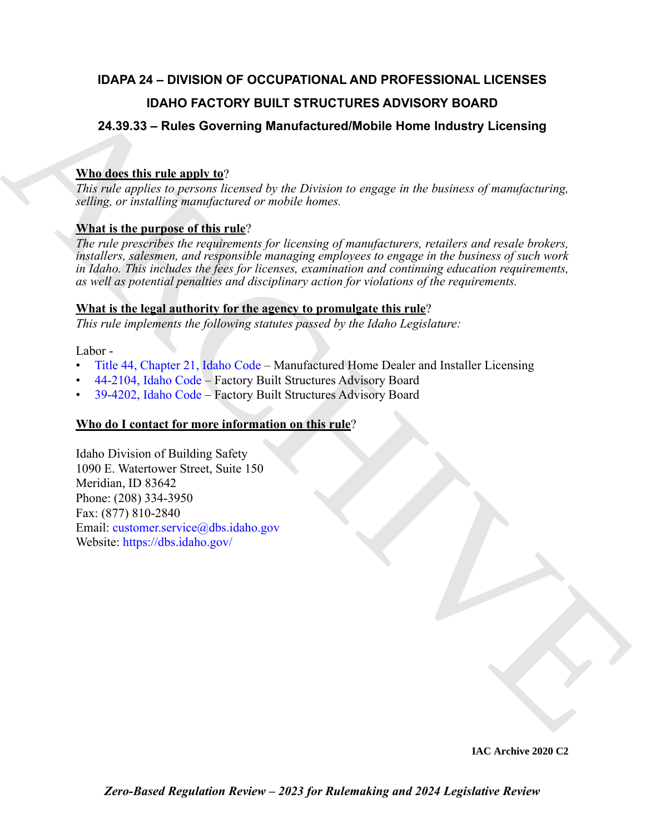## **IDAPA 24 – DIVISION OF OCCUPATIONAL AND PROFESSIONAL LICENSES IDAHO FACTORY BUILT STRUCTURES ADVISORY BOARD**

## **24.39.33 – Rules Governing Manufactured/Mobile Home Industry Licensing**

## **Who does this rule apply to**?

*This rule applies to persons licensed by the Division to engage in the business of manufacturing, selling, or installing manufactured or mobile homes.*

## **What is the purpose of this rule**?

**IDAHO FA[C](https://legislature.idaho.gov/statutesrules/idstat/Title44/T44CH21/)TORY BUILT STRUCTURES ADVISORY BOARD**<br> **24.39.33 - Rules Governing Manufactured/Mobile Home industry Licensing**<br> **Number this transport of**  $\alpha$  **and**  $\alpha$  **plus to the manufacture of the manufacture of manufacture** *The rule prescribes the requirements for licensing of manufacturers, retailers and resale brokers, installers, salesmen, and responsible managing employees to engage in the business of such work in Idaho. This includes the fees for licenses, examination and continuing education requirements, as well as potential penalties and disciplinary action for violations of the requirements.* 

## **What is the legal authority for the agency to promulgate this rule**?

*This rule implements the following statutes passed by the Idaho Legislature:*

Labor -

- Title 44, Chapter 21, Idaho Code Manufactured Home Dealer and Installer Licensing
- 44-2104, Idaho Code Factory Built Structures Advisory Board
- 39-4202, Idaho Code Factory Built Structures Advisory Board

## **Who do I contact for more information on this rule**?

Idaho Division of Building Safety 1090 E. Watertower Street, Suite 150 Meridian, ID 83642 Phone: (208) 334-3950 Fax: (877) 810-2840 Email: customer.service@dbs.idaho.gov Website: https://dbs.idaho.gov/

**IAC Archive 2020 C2**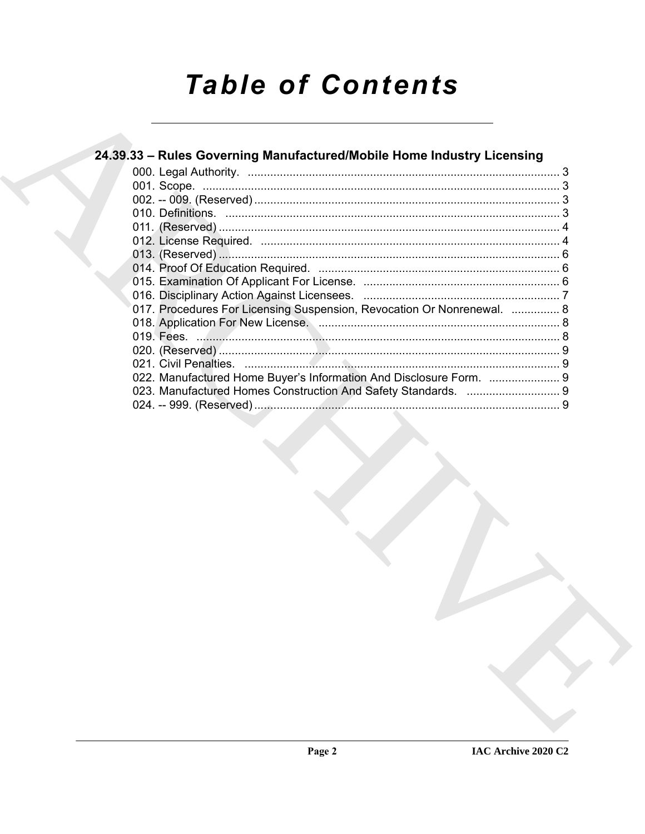# **Table of Contents**

| 24.39.33 – Rules Governing Manufactured/Mobile Home Industry Licensing |  |
|------------------------------------------------------------------------|--|
|                                                                        |  |
|                                                                        |  |
|                                                                        |  |
|                                                                        |  |
|                                                                        |  |
|                                                                        |  |
|                                                                        |  |
|                                                                        |  |
|                                                                        |  |
|                                                                        |  |
| 017. Procedures For Licensing Suspension, Revocation Or Nonrenewal.  8 |  |
|                                                                        |  |
|                                                                        |  |
|                                                                        |  |
|                                                                        |  |
| 022. Manufactured Home Buyer's Information And Disclosure Form.  9     |  |
|                                                                        |  |
|                                                                        |  |
|                                                                        |  |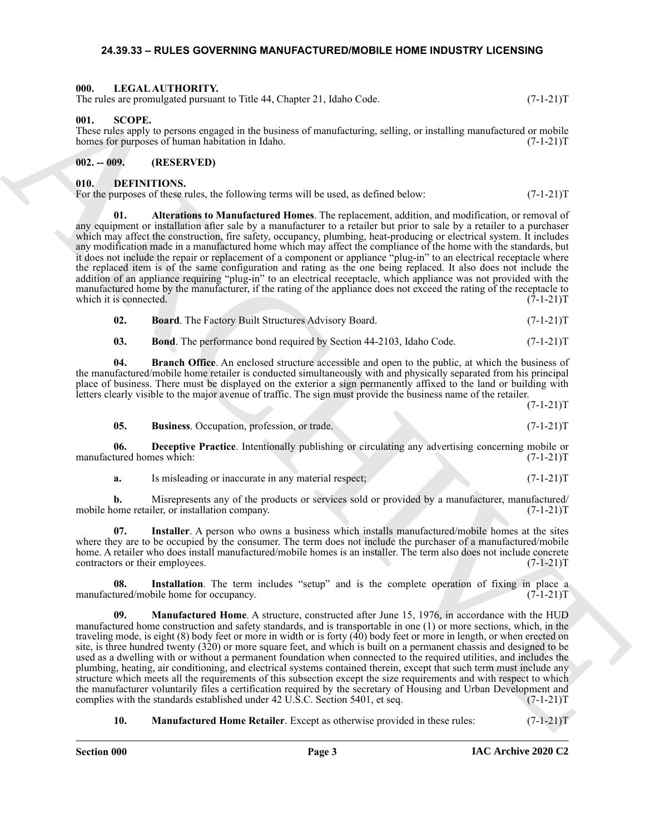#### <span id="page-2-16"></span><span id="page-2-0"></span>**24.39.33 – RULES GOVERNING MANUFACTURED/MOBILE HOME INDUSTRY LICENSING**

#### <span id="page-2-1"></span>**000. LEGAL AUTHORITY.**

The rules are promulgated pursuant to Title 44, Chapter 21, Idaho Code. (7-1-21)T

#### <span id="page-2-17"></span><span id="page-2-2"></span>**001. SCOPE.**

These rules apply to persons engaged in the business of manufacturing, selling, or installing manufactured or mobile homes for purposes of human habitation in Idaho. (7-1-21)T

#### <span id="page-2-3"></span>**002. -- 009. (RESERVED)**

#### <span id="page-2-5"></span><span id="page-2-4"></span>**010. DEFINITIONS.**

<span id="page-2-6"></span>For the purposes of these rules, the following terms will be used, as defined below:  $(7-1-21)$ T

Here is considered by the 10 th signature of the signature and the signature and the signature of  $C(1-21)$ <br>
the signature properties of the properties of the signature of the signature of the signature of the signature o **01. Alterations to Manufactured Homes**. The replacement, addition, and modification, or removal of any equipment or installation after sale by a manufacturer to a retailer but prior to sale by a retailer to a purchaser which may affect the construction, fire safety, occupancy, plumbing, heat-producing or electrical system. It includes any modification made in a manufactured home which may affect the compliance of the home with the standards, but it does not include the repair or replacement of a component or appliance "plug-in" to an electrical receptacle where the replaced item is of the same configuration and rating as the one being replaced. It also does not include the addition of an appliance requiring "plug-in" to an electrical receptacle, which appliance was not provided with the manufactured home by the manufacturer, if the rating of the appliance does not exceed the rating of the receptacle to which it is connected. (7-1-21) which it is connected.

<span id="page-2-8"></span><span id="page-2-7"></span>

| 02. | <b>Board.</b> The Factory Built Structures Advisory Board. | $(7-1-21)T$ |
|-----|------------------------------------------------------------|-------------|
|-----|------------------------------------------------------------|-------------|

<span id="page-2-9"></span>**03.** Bond. The performance bond required by Section 44-2103, Idaho Code.  $(7-1-21)T$ 

**04. Branch Office**. An enclosed structure accessible and open to the public, at which the business of the manufactured/mobile home retailer is conducted simultaneously with and physically separated from his principal place of business. There must be displayed on the exterior a sign permanently affixed to the land or building with letters clearly visible to the major avenue of traffic. The sign must provide the business name of the retailer.

 $(7-1-21)T$ 

<span id="page-2-11"></span><span id="page-2-10"></span>

| 05. | <b>Business.</b> Occupation, profession, or trade. | $(7-1-21)T$ |
|-----|----------------------------------------------------|-------------|
|-----|----------------------------------------------------|-------------|

**06. Deceptive Practice**. Intentionally publishing or circulating any advertising concerning mobile or manufactured homes which: (7-1-21)T

<span id="page-2-13"></span>**a.** Is misleading or inaccurate in any material respect;  $(7-1-21)$ T

**b.** Misrepresents any of the products or services sold or provided by a manufacturer, manufactured/ ome retailer, or installation company. (7-1-21)T mobile home retailer, or installation company.

**07. Installer**. A person who owns a business which installs manufactured/mobile homes at the sites where they are to be occupied by the consumer. The term does not include the purchaser of a manufactured/mobile home. A retailer who does install manufactured/mobile homes is an installer. The term also does not include concrete contractors or their employees. (7-1-21)T

<span id="page-2-12"></span>**08. Installation**. The term includes "setup" and is the complete operation of fixing in place a manufactured/mobile home for occupancy. (7-1-21)T

<span id="page-2-14"></span>**09. Manufactured Home**. A structure, constructed after June 15, 1976, in accordance with the HUD manufactured home construction and safety standards, and is transportable in one (1) or more sections, which, in the traveling mode, is eight (8) body feet or more in width or is forty (40) body feet or more in length, or when erected on site, is three hundred twenty (320) or more square feet, and which is built on a permanent chassis and designed to be used as a dwelling with or without a permanent foundation when connected to the required utilities, and includes the plumbing, heating, air conditioning, and electrical systems contained therein, except that such term must include any structure which meets all the requirements of this subsection except the size requirements and with respect to which the manufacturer voluntarily files a certification required by the secretary of Housing and Urban Development and complies with the standards established under 42 U.S.C. Section 5401, et seq.  $(7-1-21)$ T

<span id="page-2-15"></span>**10. Manufactured Home Retailer**. Except as otherwise provided in these rules: (7-1-21)T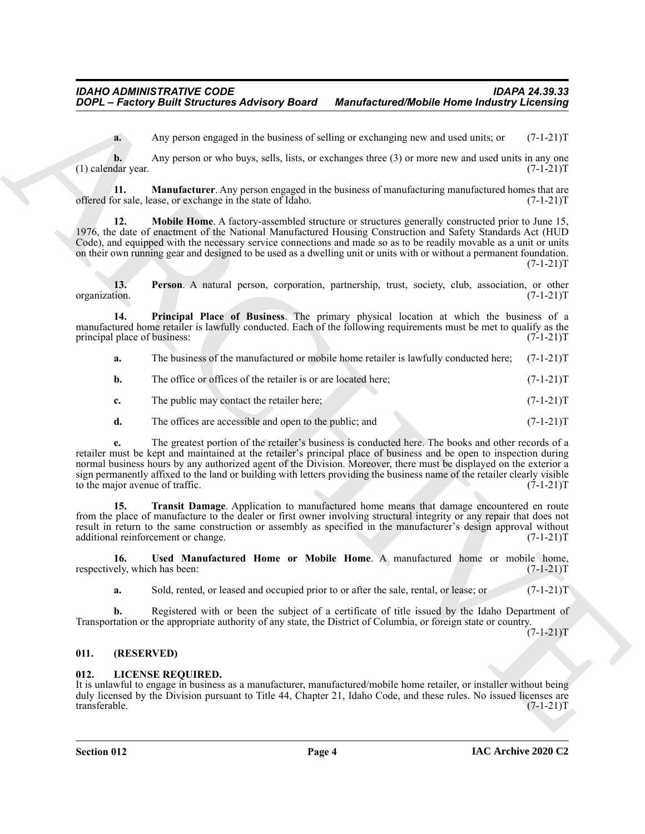<span id="page-3-2"></span>**a.** Any person engaged in the business of selling or exchanging new and used units; or  $(7-1-21)$ T

**b.** Any person or who buys, sells, lists, or exchanges three (3) or more new and used units in any one  $(1)$  calendar year.  $(7-1-21)T$ 

**11. Manufacturer**. Any person engaged in the business of manufacturing manufactured homes that are or sale, lease, or exchange in the state of Idaho. offered for sale, lease, or exchange in the state of Idaho.

<span id="page-3-3"></span>**Mobile Home**. A factory-assembled structure or structures generally constructed prior to June 15, 1976, the date of enactment of the National Manufactured Housing Construction and Safety Standards Act (HUD Code), and equipped with the necessary service connections and made so as to be readily movable as a unit or units on their own running gear and designed to be used as a dwelling unit or units with or without a permanent foundation.  $(7-1-21)T$ 

<span id="page-3-4"></span>**13. Person**. A natural person, corporation, partnership, trust, society, club, association, or other tion. (7-1-21)T organization.

**14. Principal Place of Business**. The primary physical location at which the business of a manufactured home retailer is lawfully conducted. Each of the following requirements must be met to qualify as the principal place of business: (7-1-21) principal place of business:

<span id="page-3-5"></span>**a.** The business of the manufactured or mobile home retailer is lawfully conducted here; (7-1-21)T

- **b.** The office or offices of the retailer is or are located here;  $(7-1-21)$ T
- **c.** The public may contact the retailer here; (7-1-21)T
- **d.** The offices are accessible and open to the public; and  $(7-1-21)$ T

**2006** – *Factory Built Sirrectives Advisory Board Manufactured Mobile Home Indiansy Licensing***<br>
Any particular and the simulation of victima or continent to the simulation of**  $(31211)$ **<br>
(1) calcular the simulation of th e.** The greatest portion of the retailer's business is conducted here. The books and other records of a retailer must be kept and maintained at the retailer's principal place of business and be open to inspection during normal business hours by any authorized agent of the Division. Moreover, there must be displayed on the exterior a sign permanently affixed to the land or building with letters providing the business name of the retailer clearly visible<br>to the major avenue of traffic. (7-1-21)T to the major avenue of traffic.

<span id="page-3-6"></span>**15. Transit Damage**. Application to manufactured home means that damage encountered en route from the place of manufacture to the dealer or first owner involving structural integrity or any repair that does not result in return to the same construction or assembly as specified in the manufacturer's design approval without additional reinforcement or change.  $(7-1-21)$ T additional reinforcement or change.

**16. Used Manufactured Home or Mobile Home**. A manufactured home or mobile home, respectively, which has been: (7-1-21)T

<span id="page-3-7"></span>**a.** Sold, rented, or leased and occupied prior to or after the sale, rental, or lease; or  $(7-1-21)$ T

**b.** Registered with or been the subject of a certificate of title issued by the Idaho Department of Transportation or the appropriate authority of any state, the District of Columbia, or foreign state or country.

 $(7-1-21)T$ 

#### <span id="page-3-0"></span>**011. (RESERVED)**

#### <span id="page-3-8"></span><span id="page-3-1"></span>**012. LICENSE REQUIRED.**

It is unlawful to engage in business as a manufacturer, manufactured/mobile home retailer, or installer without being duly licensed by the Division pursuant to Title 44, Chapter 21, Idaho Code, and these rules. No issued licenses are transferable. (7-1-21)T transferable. (7-1-21)T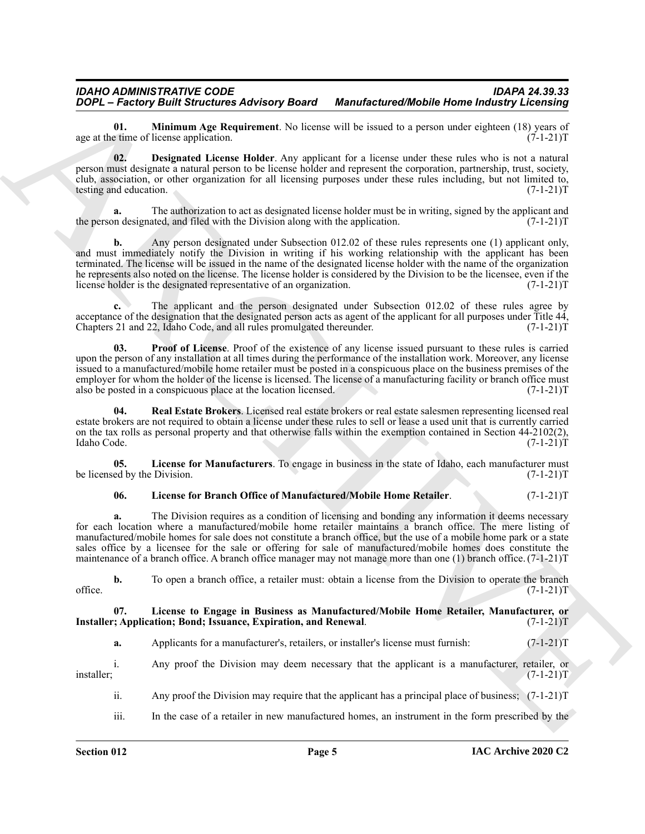<span id="page-4-4"></span>**01. Minimum Age Requirement**. No license will be issued to a person under eighteen (18) years of eighteen eighteen (18) years of  $(7-1-21)$ age at the time of license application.

<span id="page-4-1"></span>**02. Designated License Holder**. Any applicant for a license under these rules who is not a natural person must designate a natural person to be license holder and represent the corporation, partnership, trust, society, club, association, or other organization for all licensing purposes under these rules including, but not limited to, testing and education. (7-1-21) testing and education.

**a.** The authorization to act as designated license holder must be in writing, signed by the applicant and the person designated, and filed with the Division along with the application.  $(7-1-21)T$ 

**2004.** Freehood Wallette Advisory Beard Monterferred Mobile Home the article and the spin of the spin of the spin of the spin of the spin of the spin of the spin of the spin of the spin of the spin of the spin of the spi **b.** Any person designated under Subsection 012.02 of these rules represents one (1) applicant only, and must immediately notify the Division in writing if his working relationship with the applicant has been terminated. The license will be issued in the name of the designated license holder with the name of the organization he represents also noted on the license. The license holder is considered by the Division to be the licensee, even if the license holder is the designated representative of an organization. (7-1-21)T

**c.** The applicant and the person designated under Subsection 012.02 of these rules agree by acceptance of the designation that the designated person acts as agent of the applicant for all purposes under Title 44, Chapters 21 and 22, Idaho Code, and all rules promulgated thereunder.  $(7-1-21)T$ 

<span id="page-4-5"></span>**03. Proof of License**. Proof of the existence of any license issued pursuant to these rules is carried upon the person of any installation at all times during the performance of the installation work. Moreover, any license issued to a manufactured/mobile home retailer must be posted in a conspicuous place on the business premises of the employer for whom the holder of the license is licensed. The license of a manufacturing facility or branch office must<br>also be posted in a conspicuous place at the location licensed. (7-1-21) also be posted in a conspicuous place at the location licensed.

<span id="page-4-6"></span>**04. Real Estate Brokers**. Licensed real estate brokers or real estate salesmen representing licensed real estate brokers are not required to obtain a license under these rules to sell or lease a used unit that is currently carried on the tax rolls as personal property and that otherwise falls within the exemption contained in Section 44-2102(2), Idaho Code. (7-1-21) Idaho Code. (7-1-21)T

**05. License for Manufacturers**. To engage in business in the state of Idaho, each manufacturer must be licensed by the Division. (7-1-21)T

#### <span id="page-4-3"></span><span id="page-4-2"></span>**06. License for Branch Office of Manufactured/Mobile Home Retailer**. (7-1-21)T

**a.** The Division requires as a condition of licensing and bonding any information it deems necessary for each location where a manufactured/mobile home retailer maintains a branch office. The mere listing of manufactured/mobile homes for sale does not constitute a branch office, but the use of a mobile home park or a state sales office by a licensee for the sale or offering for sale of manufactured/mobile homes does constitute the maintenance of a branch office. A branch office manager may not manage more than one (1) branch office. (7-1-21)T

**b.** To open a branch office, a retailer must: obtain a license from the Division to operate the branch  $(7-1-21)T$ office.  $(7-1-21)T$ 

#### **07. License to Engage in Business as Manufactured/Mobile Home Retailer, Manufacturer, or Installer; Application; Bond; Issuance, Expiration, and Renewal.** (7-1-21)T

<span id="page-4-0"></span>**a.** Applicants for a manufacturer's, retailers, or installer's license must furnish:  $(7-1-21)$ T

i. Any proof the Division may deem necessary that the applicant is a manufacturer, retailer, or installer; (7-1-21)T

ii. Any proof the Division may require that the applicant has a principal place of business; (7-1-21)T

iii. In the case of a retailer in new manufactured homes, an instrument in the form prescribed by the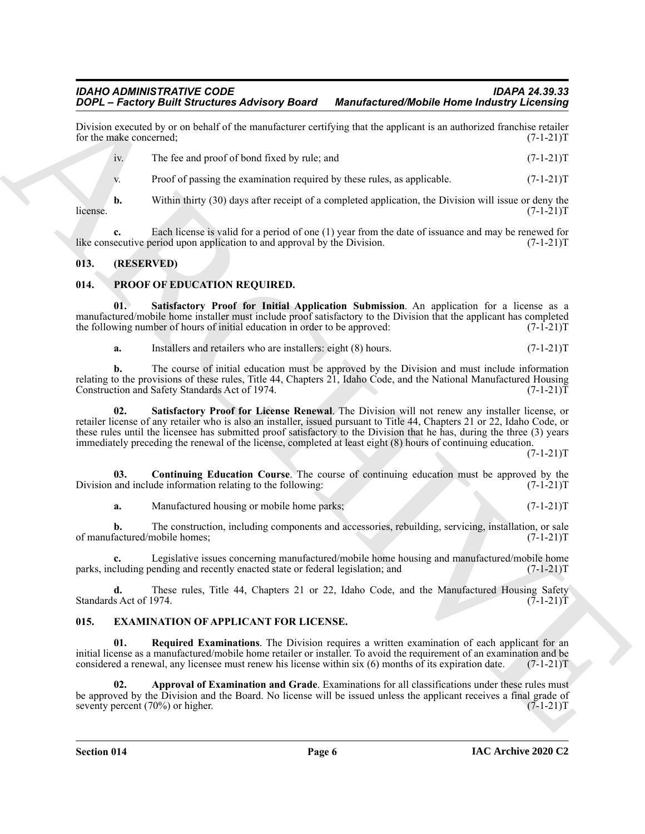Division executed by or on behalf of the manufacturer certifying that the applicant is an authorized franchise retailer for the make concerned;  $(7-1-21)$ for the make concerned;

| iv. | The fee and proof of bond fixed by rule; and                                                          | $(7-1-21)T$ |
|-----|-------------------------------------------------------------------------------------------------------|-------------|
| V.  | Proof of passing the examination required by these rules, as applicable.                              | $(7-1-21)T$ |
| b.  | Within thirty (30) days after receipt of a completed application, the Division will issue or deny the | $(7-1-21)T$ |

 $l$  (7-1-21)T

**c.** Each license is valid for a period of one (1) year from the date of issuance and may be renewed for equative period upon application to and approval by the Division. (7-1-21) like consecutive period upon application to and approval by the Division.

#### <span id="page-5-0"></span>**013. (RESERVED)**

#### <span id="page-5-6"></span><span id="page-5-1"></span>**014. PROOF OF EDUCATION REQUIRED.**

**01. Satisfactory Proof for Initial Application Submission**. An application for a license as a manufactured/mobile home installer must include proof satisfactory to the Division that the applicant has completed the following number of hours of initial education in order to be approved: (7-1-21)T

<span id="page-5-9"></span><span id="page-5-8"></span>**a.** Installers and retailers who are installers: eight (8) hours. (7-1-21)T

**b.** The course of initial education must be approved by the Division and must include information relating to the provisions of these rules, Title 44, Chapters 21, Idaho Code, and the National Manufactured Housing<br>Construction and Safety Standards Act of 1974. (7-1-21) Construction and Safety Standards Act of 1974.

**SON:**  $\vec{r} = \vec{R} \vec{a} \vec{b} \vec{c} \vec{a}$  (and  $\vec{b} \vec{a} \vec{b}$  for  $\vec{b} \vec{b}$  for  $\vec{b} \vec{b}$  for  $\vec{b} \vec{b}$  for  $\vec{b} \vec{b}$  for  $\vec{b} \vec{b}$  for  $\vec{b} \vec{b}$  for  $\vec{b} \vec{b}$  for  $\vec{b} \vec{b}$  for  $\vec{b} \vec{b}$  for **02. Satisfactory Proof for License Renewal**. The Division will not renew any installer license, or retailer license of any retailer who is also an installer, issued pursuant to Title 44, Chapters 21 or 22, Idaho Code, or these rules until the licensee has submitted proof satisfactory to the Division that he has, during the three (3) years immediately preceding the renewal of the license, completed at least eight (8) hours of continuing education.

 $(7-1-21)T$ 

**03.** Continuing Education Course. The course of continuing education must be approved by the and include information relating to the following:  $(7-1-21)$ Division and include information relating to the following:

<span id="page-5-7"></span>**a.** Manufactured housing or mobile home parks; (7-1-21)T

**b.** The construction, including components and accessories, rebuilding, servicing, installation, or sale factured/mobile homes: (7-1-21)T of manufactured/mobile homes;

**c.** Legislative issues concerning manufactured/mobile home housing and manufactured/mobile home parks, including pending and recently enacted state or federal legislation; and (7-1-21)T

**d.** These rules, Title 44, Chapters 21 or 22, Idaho Code, and the Manufactured Housing Safety s Act of 1974. (7-1-21)T Standards Act of 1974.

#### <span id="page-5-3"></span><span id="page-5-2"></span>**015. EXAMINATION OF APPLICANT FOR LICENSE.**

<span id="page-5-5"></span>**01. Required Examinations**. The Division requires a written examination of each applicant for an initial license as a manufactured/mobile home retailer or installer. To avoid the requirement of an examination and be considered a renewal, any licensee must renew his license within six (6) months of its expiration date. considered a renewal, any licensee must renew his license within six (6) months of its expiration date.

<span id="page-5-4"></span>**02. Approval of Examination and Grade**. Examinations for all classifications under these rules must be approved by the Division and the Board. No license will be issued unless the applicant receives a final grade of seventy percent (70%) or higher.  $(7-1-21)$ T seventy percent  $(70%)$  or higher.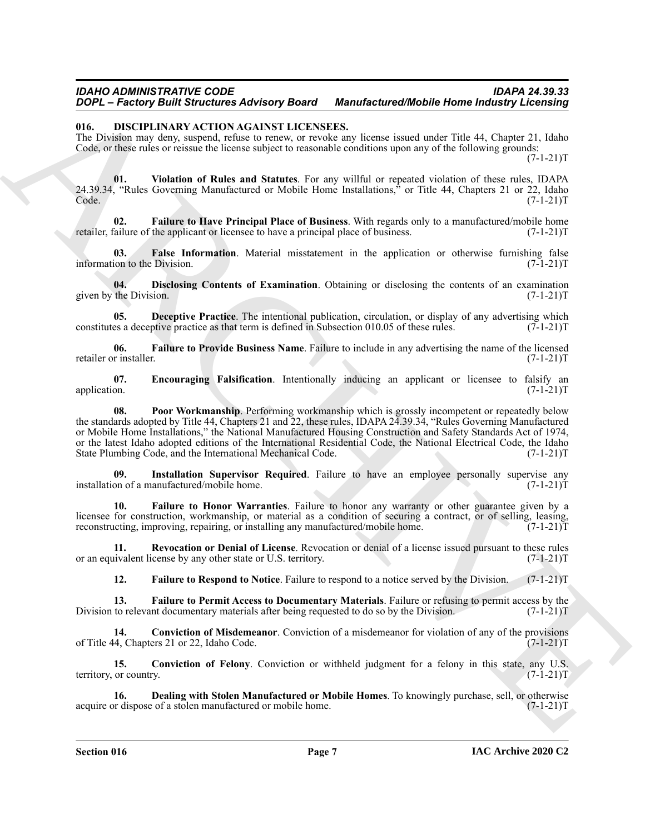#### <span id="page-6-0"></span>**016. DISCIPLINARY ACTION AGAINST LICENSEES.**

The Division may deny, suspend, refuse to renew, or revoke any license issued under Title 44, Chapter 21, Idaho Code, or these rules or reissue the license subject to reasonable conditions upon any of the following grounds:  $(7-1-21)T$ 

<span id="page-6-16"></span>**01. Violation of Rules and Statutes**. For any willful or repeated violation of these rules, IDAPA 24.39.34, "Rules Governing Manufactured or Mobile Home Installations," or Title 44, Chapters 21 or 22, Idaho  $\text{Code.}$  (7-1-21)T

<span id="page-6-7"></span>**02.** Failure to Have Principal Place of Business. With regards only to a manufactured/mobile home failure of the applicant or licensee to have a principal place of business. (7-1-21) retailer, failure of the applicant or licensee to have a principal place of business.

<span id="page-6-12"></span>**03.** False Information. Material misstatement in the application or otherwise furnishing false ion to the Division. (7-1-21)T information to the Division.

<span id="page-6-5"></span>**04.** Disclosing Contents of Examination. Obtaining or disclosing the contents of an examination the Division. (7-1-21)T given by the Division.

<span id="page-6-4"></span>**05. Deceptive Practice**. The intentional publication, circulation, or display of any advertising which es a deceptive practice as that term is defined in Subsection 010.05 of these rules. (7-1-21) constitutes a deceptive practice as that term is defined in Subsection 010.05 of these rules.

<span id="page-6-10"></span>**06.** Failure to Provide Business Name. Failure to include in any advertising the name of the licensed r installer. (7-1-21) retailer or installer.

<span id="page-6-14"></span><span id="page-6-6"></span>**07.** Encouraging Falsification. Intentionally inducing an applicant or licensee to falsify an application.  $(7-1-21)T$ application.  $(7-1-21)T$ 

**2004** - **Excelor** State Towards Address the Montenburgh Mobile Home Industry Lecensing<br>
10. **DESCIENCIANT IN ACAINS LECENSES.**<br>
The mass and securities and securities are complete the second can be the second that the th **08. Poor Workmanship**. Performing workmanship which is grossly incompetent or repeatedly below the standards adopted by Title 44, Chapters 21 and 22, these rules, IDAPA 24.39.34, "Rules Governing Manufactured or Mobile Home Installations," the National Manufactured Housing Construction and Safety Standards Act of 1974, or the latest Idaho adopted editions of the International Residential Code, the National Electrical Code, the Idaho<br>State Plumbing Code, and the International Mechanical Code. (7-1-21)T State Plumbing Code, and the International Mechanical Code.

<span id="page-6-13"></span>**09.** Installation Supervisor Required. Failure to have an employee personally supervise any on of a manufactured/mobile home. installation of a manufactured/mobile home.

<span id="page-6-8"></span>**10. Failure to Honor Warranties**. Failure to honor any warranty or other guarantee given by a licensee for construction, workmanship, or material as a condition of securing a contract, or of selling, leasing, reconstructing, improving, repairing, or installing any manufactured/mobile home. (7-1-21)T

**11. Revocation or Denial of License**. Revocation or denial of a license issued pursuant to these rules invalent license by any other state or U.S. territory. (7-1-21) or an equivalent license by any other state or U.S. territory.

<span id="page-6-15"></span><span id="page-6-11"></span><span id="page-6-9"></span><span id="page-6-2"></span>**12. Failure to Respond to Notice**. Failure to respond to a notice served by the Division. (7-1-21)T

**13.** Failure to Permit Access to Documentary Materials. Failure or refusing to permit access by the to relevant documentary materials after being requested to do so by the Division. (7-1-21)T Division to relevant documentary materials after being requested to do so by the Division.

**14. Conviction of Misdemeanor**. Conviction of a misdemeanor for violation of any of the provisions (4, Chapters 21 or 22, Idaho Code. (7-1-21) of Title 44, Chapters 21 or 22, Idaho Code.

<span id="page-6-1"></span>**15. Conviction of Felony**. Conviction or withheld judgment for a felony in this state, any U.S. or country. (7-1-21)T territory, or country.

<span id="page-6-3"></span>**16. Dealing with Stolen Manufactured or Mobile Homes**. To knowingly purchase, sell, or otherwise or dispose of a stolen manufactured or mobile home. (7-1-21)T acquire or dispose of a stolen manufactured or mobile home.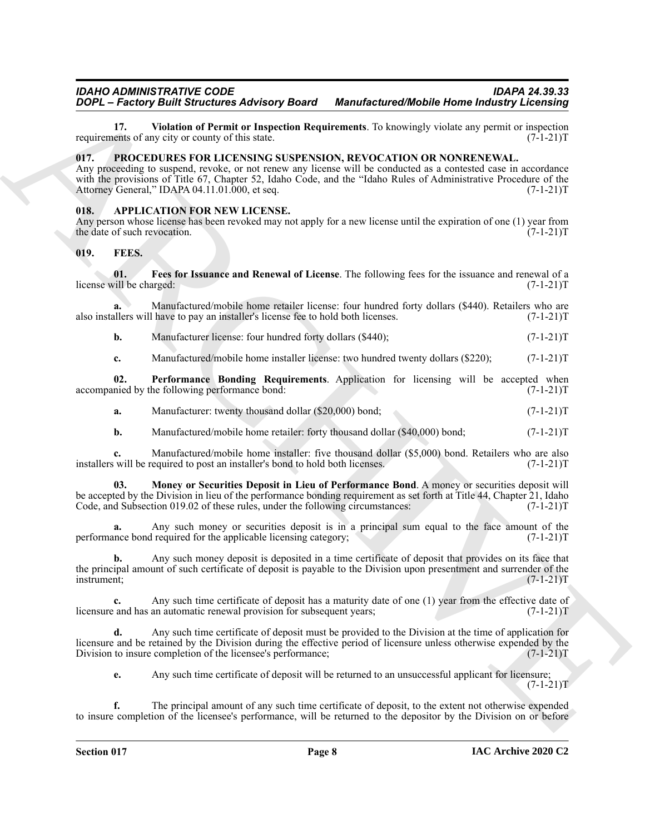<span id="page-7-4"></span>**17. Violation of Permit or Inspection Requirements**. To knowingly violate any permit or inspection ents of any city or county of this state. requirements of any city or county of this state.

#### <span id="page-7-9"></span><span id="page-7-0"></span>**017. PROCEDURES FOR LICENSING SUSPENSION, REVOCATION OR NONRENEWAL.**

Any proceeding to suspend, revoke, or not renew any license will be conducted as a contested case in accordance with the provisions of Title 67, Chapter 52, Idaho Code, and the "Idaho Rules of Administrative Procedure of the Attorney General," IDAPA 04.11.01.000, et seq. (7-1-21) Attorney General," IDAPA 04.11.01.000, et seq.

#### <span id="page-7-3"></span><span id="page-7-1"></span>**018. APPLICATION FOR NEW LICENSE.**

Any person whose license has been revoked may not apply for a new license until the expiration of one (1) year from the date of such revocation. (7-1-21)T the date of such revocation.

#### <span id="page-7-5"></span><span id="page-7-2"></span>**019. FEES.**

<span id="page-7-6"></span>**01. Fees for Issuance and Renewal of License**. The following fees for the issuance and renewal of a license will be charged:

**a.** Manufactured/mobile home retailer license: four hundred forty dollars (\$440). Retailers who are also installers will have to pay an installer's license fee to hold both licenses. (7-1-21)T

**b.** Manufacturer license: four hundred forty dollars (\$440); (7-1-21)T

<span id="page-7-8"></span>**c.** Manufactured/mobile home installer license: two hundred twenty dollars (\$220);  $(7-1-21)$ T

**02. Performance Bonding Requirements**. Application for licensing will be accepted when nied by the following performance bond: (7-1-21)T accompanied by the following performance bond:

- **a.** Manufacturer: twenty thousand dollar (\$20,000) bond; (7-1-21)T
- <span id="page-7-7"></span>**b.** Manufactured/mobile home retailer: forty thousand dollar (\$40,000) bond;  $(7-1-21)$ T

**c.** Manufactured/mobile home installer: five thousand dollar (\$5,000) bond. Retailers who are also will be required to post an installer's bond to hold both licenses. (7-1-21) installers will be required to post an installer's bond to hold both licenses.

**2004.** Francos **Constrainers Adventure and Remember to Manufacture of Models Home Indiana (1973). The state of the state of the state of the state of the state of the state of the state of the state of the state of the 03. Money or Securities Deposit in Lieu of Performance Bond**. A money or securities deposit will be accepted by the Division in lieu of the performance bonding requirement as set forth at Title 44, Chapter 21, Idaho Code, and Subsection 019.02 of these rules, under the following circumstances: (7-1-21) Code, and Subsection 019.02 of these rules, under the following circumstances:

Any such money or securities deposit is in a principal sum equal to the face amount of the required for the applicable licensing category;  $(7-1-21)$ performance bond required for the applicable licensing category;

**b.** Any such money deposit is deposited in a time certificate of deposit that provides on its face that the principal amount of such certificate of deposit is payable to the Division upon presentment and surrender of the instrument;  $(7-1-21)$ T instrument; (7-1-21)T

**c.** Any such time certificate of deposit has a maturity date of one (1) year from the effective date of and has an automatic renewal provision for subsequent years; (7-1-21)<sup>T</sup> licensure and has an automatic renewal provision for subsequent years;

**d.** Any such time certificate of deposit must be provided to the Division at the time of application for licensure and be retained by the Division during the effective period of licensure unless otherwise expended by the Division to insure completion of the licensee's performance; (7-1-21) Division to insure completion of the licensee's performance;

**e.** Any such time certificate of deposit will be returned to an unsuccessful applicant for licensure;  $(7-1-21)T$ 

**f.** The principal amount of any such time certificate of deposit, to the extent not otherwise expended to insure completion of the licensee's performance, will be returned to the depositor by the Division on or before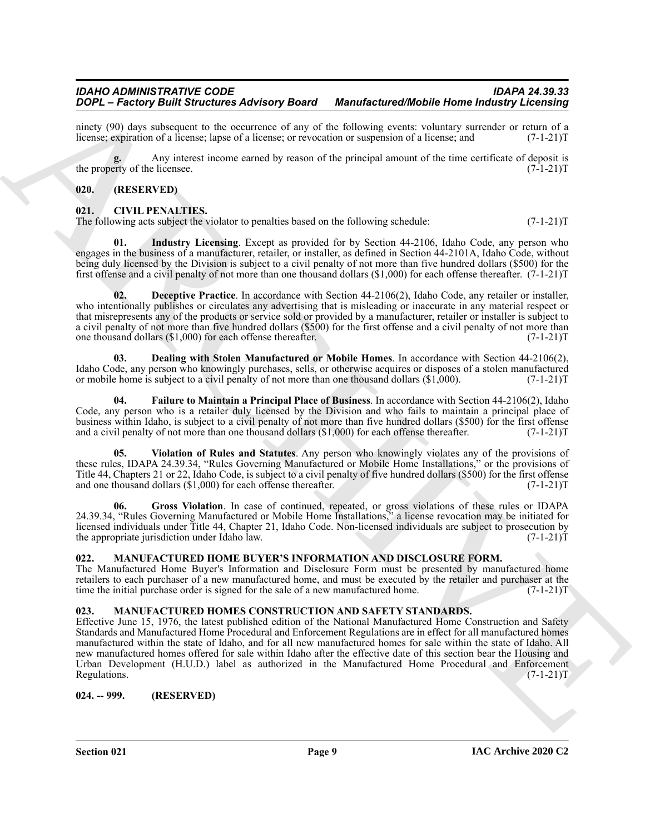ninety (90) days subsequent to the occurrence of any of the following events: voluntary surrender or return of a license; expiration of a license; lapse of a license; or revocation or suspension of a license; and (7-1-21) license; expiration of a license; lapse of a license; or revocation or suspension of a license; and

**g.** Any interest income earned by reason of the principal amount of the time certificate of deposit is the property of the licensee.  $(7-1-21)T$ 

#### <span id="page-8-0"></span>**020. (RESERVED)**

#### <span id="page-8-5"></span><span id="page-8-1"></span>**021. CIVIL PENALTIES.**

<span id="page-8-10"></span>The following acts subject the violator to penalties based on the following schedule:  $(7-1-21)$ T

**01. Industry Licensing**. Except as provided for by Section 44-2106, Idaho Code, any person who engages in the business of a manufacturer, retailer, or installer, as defined in Section 44-2101A, Idaho Code, without being duly licensed by the Division is subject to a civil penalty of not more than five hundred dollars (\$500) for the first offense and a civil penalty of not more than one thousand dollars (\$1,000) for each offense thereafter. (7-1-21)T

<span id="page-8-7"></span>**02. Deceptive Practice**. In accordance with Section 44-2106(2), Idaho Code, any retailer or installer, who intentionally publishes or circulates any advertising that is misleading or inaccurate in any material respect or that misrepresents any of the products or service sold or provided by a manufacturer, retailer or installer is subject to a civil penalty of not more than five hundred dollars (\$500) for the first offense and a civil penalty of not more than one thousand dollars (\$1,000) for each offense thereafter. (7-1-21)T

<span id="page-8-6"></span>**03. Dealing with Stolen Manufactured or Mobile Homes**. In accordance with Section 44-2106(2), Idaho Code, any person who knowingly purchases, sells, or otherwise acquires or disposes of a stolen manufactured or mobile home is subject to a civil penalty of not more than one thousand dollars (\$1,000). (7-1-21)T

<span id="page-8-8"></span>**04. Failure to Maintain a Principal Place of Business**. In accordance with Section 44-2106(2), Idaho Code, any person who is a retailer duly licensed by the Division and who fails to maintain a principal place of business within Idaho, is subject to a civil penalty of not more than five hundred dollars (\$500) for the first offense and a civil penalty of not more than one thousand dollars  $(\text{1,000})$  for each offense thereafter.  $(7-1-21)T$ 

<span id="page-8-11"></span>**05. Violation of Rules and Statutes**. Any person who knowingly violates any of the provisions of these rules, IDAPA 24.39.34, "Rules Governing Manufactured or Mobile Home Installations," or the provisions of Title 44, Chapters 21 or 22, Idaho Code, is subject to a civil penalty of five hundred dollars (\$500) for the first offense and one thousand dollars (\$1,000) for each offense thereafter. (7-1-21) and one thousand dollars  $(\$1,000)$  for each offense thereafter.

<span id="page-8-9"></span>**06. Gross Violation**. In case of continued, repeated, or gross violations of these rules or IDAPA 24.39.34, "Rules Governing Manufactured or Mobile Home Installations," a license revocation may be initiated for licensed individuals under Title 44, Chapter 21, Idaho Code. Non-licensed individuals are subject to prosecution by the appropriate jurisdiction under Idaho law. (7-1-21) the appropriate jurisdiction under Idaho law.

#### <span id="page-8-12"></span><span id="page-8-2"></span>**022. MANUFACTURED HOME BUYER'S INFORMATION AND DISCLOSURE FORM.**

The Manufactured Home Buyer's Information and Disclosure Form must be presented by manufactured home retailers to each purchaser of a new manufactured home, and must be executed by the retailer and purchaser at the time the initial purchase order is signed for the sale of a new manufactured home. (7-1-21) time the initial purchase order is signed for the sale of a new manufactured home.

#### <span id="page-8-13"></span><span id="page-8-3"></span>**023. MANUFACTURED HOMES CONSTRUCTION AND SAFETY STANDARDS.**

**2004** – **Francisy Bull Streetch Architect Advisory Board Marchitecture (FRAnche)** Home Industries (FRAnche) and the streetch architecture (FRANCHIVE CHAPTER)<br>
Record of the most linear streetch and the streetch architect Effective June 15, 1976, the latest published edition of the National Manufactured Home Construction and Safety Standards and Manufactured Home Procedural and Enforcement Regulations are in effect for all manufactured homes manufactured within the state of Idaho, and for all new manufactured homes for sale within the state of Idaho. All new manufactured homes offered for sale within Idaho after the effective date of this section bear the Housing and Urban Development (H.U.D.) label as authorized in the Manufactured Home Procedural and Enforcement Regulations. (7-1-21)T

<span id="page-8-4"></span>**024. -- 999. (RESERVED)**